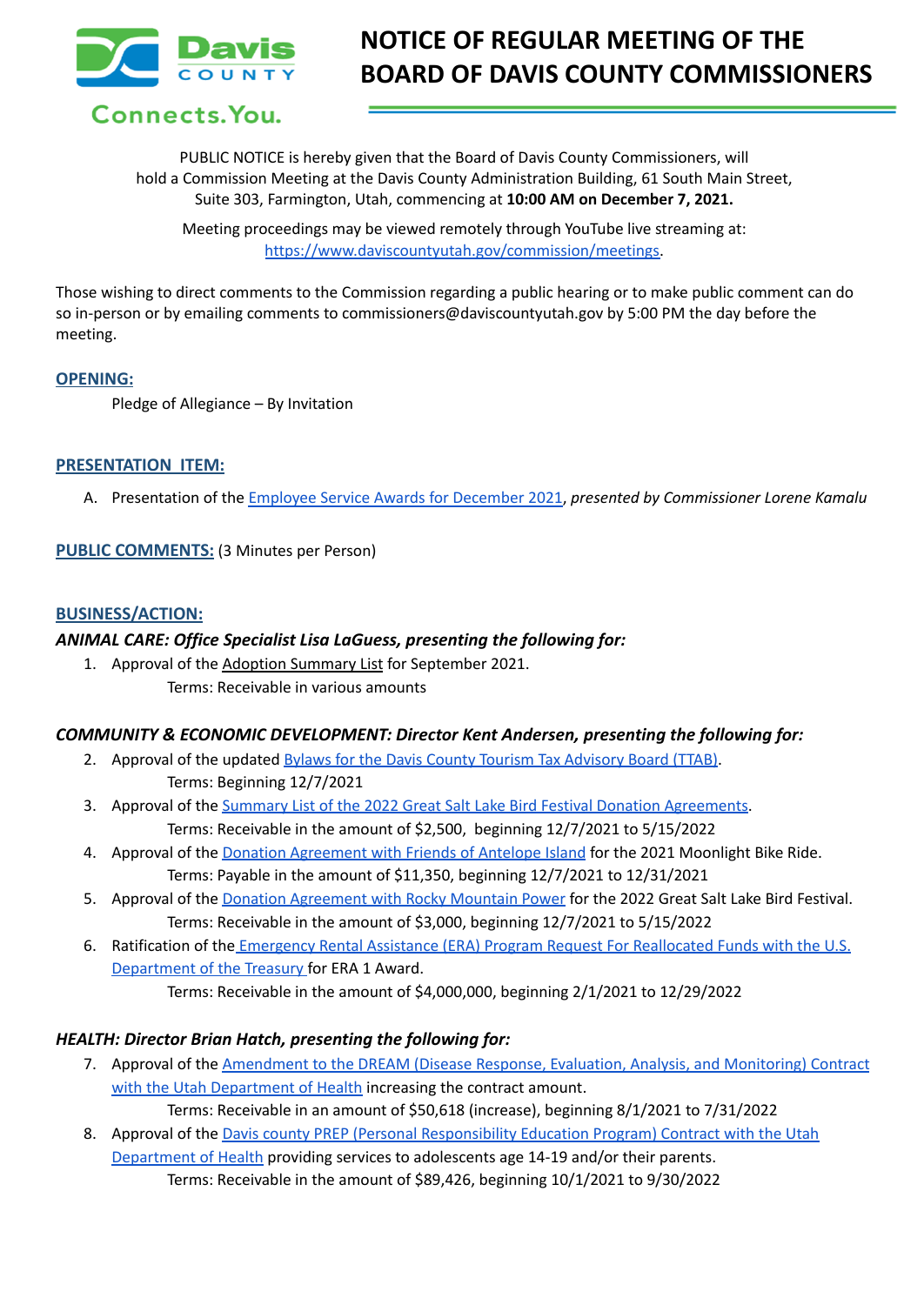

# **NOTICE OF REGULAR MEETING OF THE BOARD OF DAVIS COUNTY COMMISSIONERS**

Connects. You.

PUBLIC NOTICE is hereby given that the Board of Davis County Commissioners, will hold a Commission Meeting at the Davis County Administration Building, 61 South Main Street, Suite 303, Farmington, Utah, commencing at **10:00 AM on December 7, 2021.**

Meeting proceedings may be viewed remotely through YouTube live streaming at: [https://www.daviscountyutah.gov/commission/meetings.](https://www.daviscountyutah.gov/commission/meetings)

Those wishing to direct comments to the Commission regarding a public hearing or to make public comment can do so in-person or by emailing comments to commissioners@daviscountyutah.gov by 5:00 PM the day before the meeting.

#### **OPENING:**

Pledge of Allegiance – By Invitation

## **PRESENTATION ITEM:**

A. Presentation of the Employee Service Awards for [December](https://drive.google.com/file/d/1PplmlAEbb_o5CntdypsS5nmBrHWgbzCl/view?usp=sharing) 2021, *presented by Commissioner Lorene Kamalu*

**PUBLIC COMMENTS:** (3 Minutes per Person)

#### **BUSINESS/ACTION:**

#### *ANIMAL CARE: Office Specialist Lisa LaGuess, presenting the following for:*

1. Approval of the Adoption Summary List for September 2021. Terms: Receivable in various amounts

#### *COMMUNITY & ECONOMIC DEVELOPMENT: Director Kent Andersen, presenting the following for:*

- 2. Approval of the updated Bylaws for the Davis County Tourism Tax [Advisory](https://drive.google.com/file/d/1OSxEs2PhSozTjzD6b7cuQZb9DwJMZoH1/view?usp=sharing) Board (TTAB). Terms: Beginning 12/7/2021
- 3. Approval of the Summary List of the 2022 Great Salt Lake Bird Festival Donation [Agreements.](https://drive.google.com/file/d/1D9-NxRoZxtTKh8ZS73q_2qclefvSwcLO/view?usp=sharing) Terms: Receivable in the amount of \$2,500, beginning 12/7/2021 to 5/15/2022
- 4. Approval of the Donation [Agreement](https://drive.google.com/file/d/1qacphbsVwWiLMNsFmLsxymJkSbM83SJ6/view?usp=sharing) with Friends of Antelope Island for the 2021 Moonlight Bike Ride. Terms: Payable in the amount of \$11,350, beginning 12/7/2021 to 12/31/2021
- 5. Approval of the Donation [Agreement](https://drive.google.com/file/d/1mps4yJQuuu8hJMIZ9k0xF9I8csS6VJwy/view?usp=sharing) with Rocky Mountain Power for the 2022 Great Salt Lake Bird Festival. Terms: Receivable in the amount of \$3,000, beginning 12/7/2021 to 5/15/2022
- 6. Ratification of the Emergency Rental Assistance (ERA) Program Request For [Reallocated](https://drive.google.com/file/d/1V_QJnFT3SHfjllRZTdS1_JNXCkm4gfiK/view?usp=sharing) Funds with the U.S. [Department](https://drive.google.com/file/d/1V_QJnFT3SHfjllRZTdS1_JNXCkm4gfiK/view?usp=sharing) of the Treasury for ERA 1 Award.
	- Terms: Receivable in the amount of \$4,000,000, beginning 2/1/2021 to 12/29/2022

## *HEALTH: Director Brian Hatch, presenting the following for:*

- 7. Approval of the [Amendment](https://drive.google.com/file/d/1fr4zEM3IG2wjgk0yGlbm2LrsrcdF1lF9/view?usp=sharing) to the DREAM (Disease Response, Evaluation, Analysis, and Monitoring) Contract with the Utah [Department](https://drive.google.com/file/d/1fr4zEM3IG2wjgk0yGlbm2LrsrcdF1lF9/view?usp=sharing) of Health increasing the contract amount.
	- Terms: Receivable in an amount of \$50,618 (increase), beginning 8/1/2021 to 7/31/2022
- 8. Approval of the Davis county PREP (Personal [Responsibility](https://drive.google.com/file/d/1HhbfF_YaxJF37mp_0JV1omWa4oplV12t/view?usp=sharing) Education Program) Contract with the Utah [Department](https://drive.google.com/file/d/1HhbfF_YaxJF37mp_0JV1omWa4oplV12t/view?usp=sharing) of Health providing services to adolescents age 14-19 and/or their parents. Terms: Receivable in the amount of \$89,426, beginning 10/1/2021 to 9/30/2022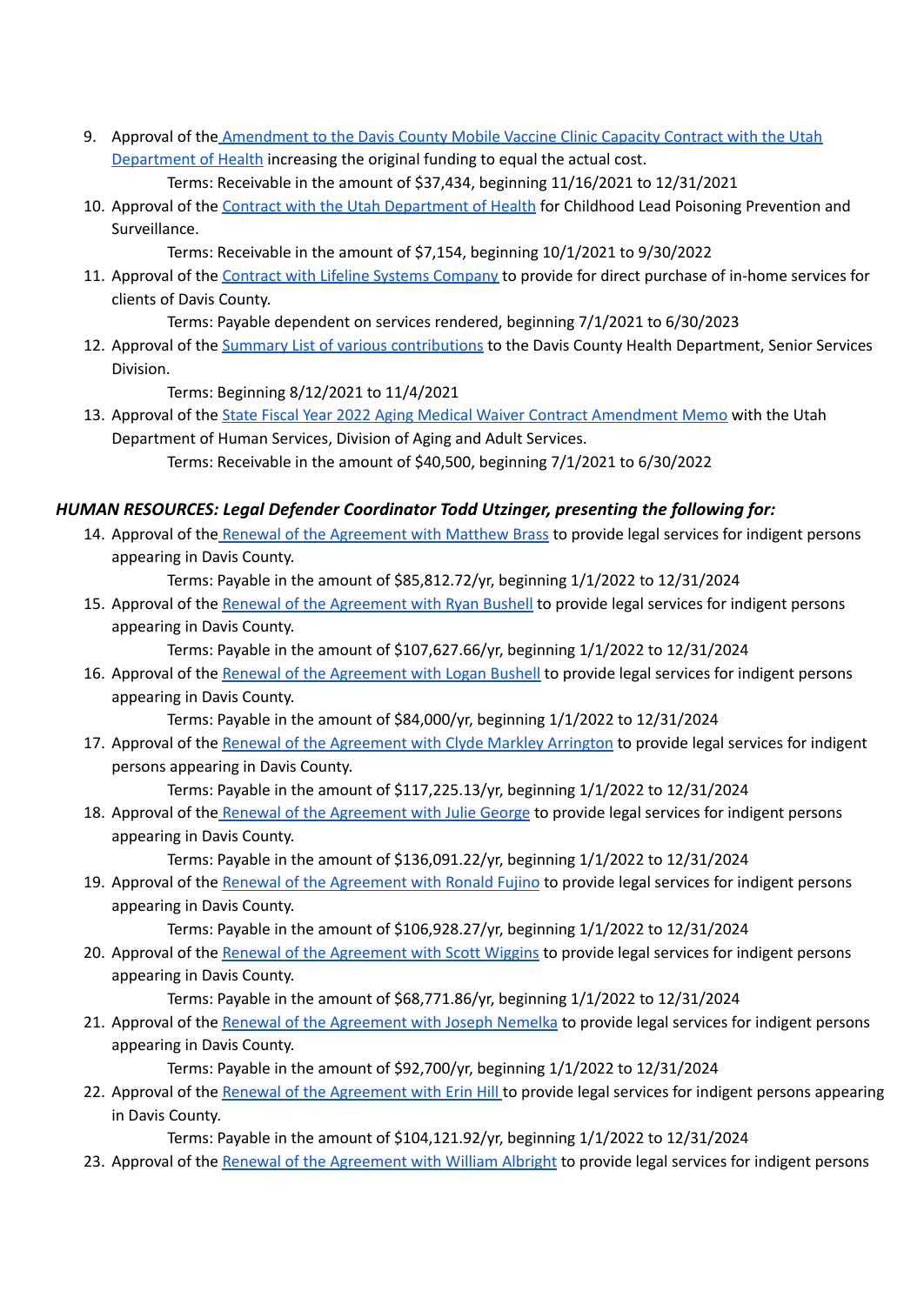- 9. Approval of the [Amendment](https://drive.google.com/file/d/1KdADOaodShsfDC9EDb5PQKCx8JfyEULx/view?usp=sharing) to the Davis County Mobile Vaccine Clinic Capacity Contract with the Utah [Department](https://drive.google.com/file/d/1KdADOaodShsfDC9EDb5PQKCx8JfyEULx/view?usp=sharing) of Health increasing the original funding to equal the actual cost. Terms: Receivable in the amount of \$37,434, beginning 11/16/2021 to 12/31/2021
- 10. Approval of the Contract with the Utah [Department](https://drive.google.com/file/d/1KCVVXAvAGkN8-2XXe1mcQE25HzVRrsd3/view?usp=sharing) of Health for Childhood Lead Poisoning Prevention and Surveillance.

Terms: Receivable in the amount of \$7,154, beginning 10/1/2021 to 9/30/2022

11. Approval of the Contract with Lifeline Systems [Company](https://drive.google.com/file/d/1zojxXwd_VF7TtrTh4JvQYboNvuwuzlA2/view?usp=sharing) to provide for direct purchase of in-home services for clients of Davis County.

Terms: Payable dependent on services rendered, beginning 7/1/2021 to 6/30/2023

12. Approval of the Summary List of various [contributions](https://drive.google.com/file/d/1ZIoWYi33m45Vo8JvQ2DHm9nPeH_G6SNd/view?usp=sharing) to the Davis County Health Department, Senior Services Division.

Terms: Beginning 8/12/2021 to 11/4/2021

13. Approval of the State Fiscal Year 2022 Aging Medical Waiver Contract [Amendment](https://docs.google.com/document/d/1Xs1xAhYSLjjW98CRc80cSzpj-qFYW0ou/edit?usp=sharing&ouid=106668054259493981190&rtpof=true&sd=true) Memo with the Utah Department of Human Services, Division of Aging and Adult Services. Terms: Receivable in the amount of \$40,500, beginning 7/1/2021 to 6/30/2022

## *HUMAN RESOURCES: Legal Defender Coordinator Todd Utzinger, presenting the following for:*

14. Approval of the Renewal of the [Agreement](https://drive.google.com/file/d/1WJ0rL_E6js5vsBEilLUdIEZ6G7GO3hMb/view?usp=sharing) with Matthew Brass to provide legal services for indigent persons appearing in Davis County.

Terms: Payable in the amount of \$85,812.72/yr, beginning 1/1/2022 to 12/31/2024

15. Approval of the Renewal of the [Agreement](https://drive.google.com/file/d/16syb-o9K5fOJ3Ii1c-0kewpohItovxhF/view?usp=sharing) with Ryan Bushell to provide legal services for indigent persons appearing in Davis County.

Terms: Payable in the amount of \$107,627.66/yr, beginning 1/1/2022 to 12/31/2024

16. Approval of the Renewal of the [Agreement](https://drive.google.com/file/d/1pCJtTYSX4xqTF16r73Yj8GgT7NL3y3Ky/view?usp=sharing) with Logan Bushell to provide legal services for indigent persons appearing in Davis County.

Terms: Payable in the amount of \$84,000/yr, beginning 1/1/2022 to 12/31/2024

17. Approval of the Renewal of the [Agreement](https://drive.google.com/file/d/1f9Kvl4BOdJE3_lqDIEFMbE2ZS-vOwxBe/view?usp=sharing) with Clyde Markley Arrington to provide legal services for indigent persons appearing in Davis County.

Terms: Payable in the amount of \$117,225.13/yr, beginning 1/1/2022 to 12/31/2024

18. Approval of the Renewal of the [Agreement](https://drive.google.com/file/d/1ER6sxLGwifkYL8V4wlXFWblSLjc7tJUi/view?usp=sharing) with Julie George to provide legal services for indigent persons appearing in Davis County.

Terms: Payable in the amount of \$136,091.22/yr, beginning 1/1/2022 to 12/31/2024

19. Approval of the Renewal of the [Agreement](https://drive.google.com/file/d/13idyT40BEK1nni7BZbK0k7PA2WWMfxcD/view?usp=sharing) with Ronald Fujino to provide legal services for indigent persons appearing in Davis County.

Terms: Payable in the amount of \$106,928.27/yr, beginning 1/1/2022 to 12/31/2024

20. Approval of the Renewal of the [Agreement](https://drive.google.com/file/d/12iBR5V5bRiGiMoR37ETRtxUeLs39cii7/view?usp=sharing) with Scott Wiggins to provide legal services for indigent persons appearing in Davis County.

Terms: Payable in the amount of \$68,771.86/yr, beginning 1/1/2022 to 12/31/2024

21. Approval of the Renewal of the [Agreement](https://drive.google.com/file/d/1bbpUFJkrzkxZuNw0HWyQjMgJS11m7Q7S/view?usp=sharing) with Joseph Nemelka to provide legal services for indigent persons appearing in Davis County.

Terms: Payable in the amount of \$92,700/yr, beginning 1/1/2022 to 12/31/2024

22. Approval of the Renewal of the [Agreement](https://drive.google.com/file/d/1vz0MVv-yROY-R5V6RcLPRKMuFv4CHyIW/view?usp=sharing) with Erin Hill to provide legal services for indigent persons appearing in Davis County.

Terms: Payable in the amount of \$104,121.92/yr, beginning 1/1/2022 to 12/31/2024

23. Approval of the Renewal of the [Agreement](https://drive.google.com/file/d/1h4cGt6Lb8ZAklbFAlQQXFcLwjDAlXjC2/view?usp=sharing) with William Albright to provide legal services for indigent persons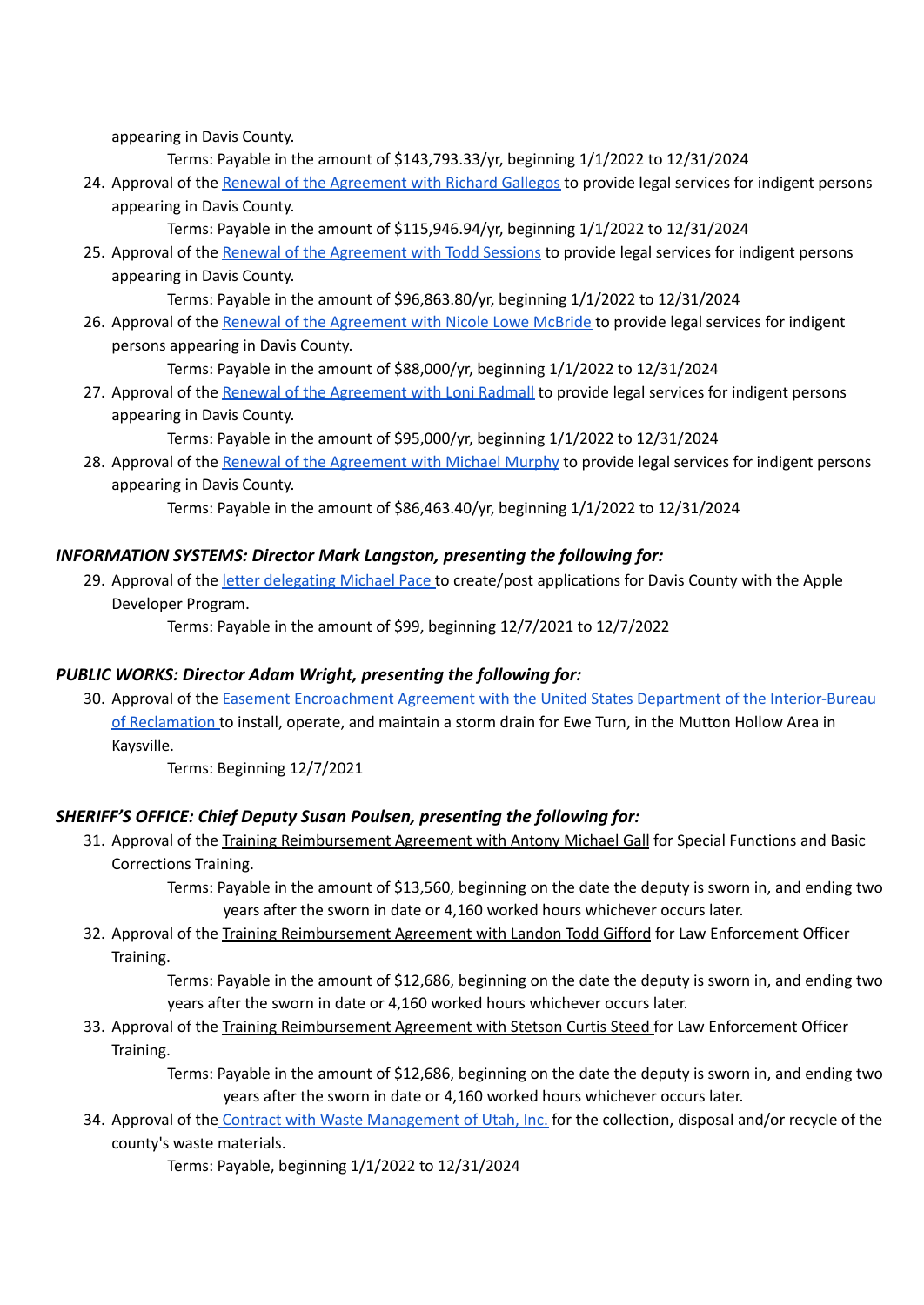appearing in Davis County.

Terms: Payable in the amount of \$143,793.33/yr, beginning 1/1/2022 to 12/31/2024

24. Approval of the Renewal of the [Agreement](https://drive.google.com/file/d/1FdxnkkeEHVpyxOq6zFxEaES2JwqVkUtT/view?usp=sharing) with Richard Gallegos to provide legal services for indigent persons appearing in Davis County.

Terms: Payable in the amount of \$115,946.94/yr, beginning 1/1/2022 to 12/31/2024

25. Approval of the Renewal of the [Agreement](https://drive.google.com/file/d/1LV3t9SUXZJeIppwUoTu6lFP11BBZqg98/view?usp=sharing) with Todd Sessions to provide legal services for indigent persons appearing in Davis County.

Terms: Payable in the amount of \$96,863.80/yr, beginning 1/1/2022 to 12/31/2024

26. Approval of the Renewal of the [Agreement](https://drive.google.com/file/d/1EuMxNW-i1-5gqQsUrjKfCizayAF1rS2c/view?usp=sharing) with Nicole Lowe McBride to provide legal services for indigent persons appearing in Davis County.

Terms: Payable in the amount of \$88,000/yr, beginning 1/1/2022 to 12/31/2024

27. Approval of the Renewal of the [Agreement](https://drive.google.com/file/d/1qiIEMOgdw2dAgvtg4EMG48S97In8pmnJ/view?usp=sharing) with Loni Radmall to provide legal services for indigent persons appearing in Davis County.

Terms: Payable in the amount of \$95,000/yr, beginning 1/1/2022 to 12/31/2024

28. Approval of the Renewal of the [Agreement](https://drive.google.com/file/d/1JF08-yuXT4mwnFzBAi5b4UvIh_nPuyu0/view?usp=sharing) with Michael Murphy to provide legal services for indigent persons appearing in Davis County.

Terms: Payable in the amount of \$86,463.40/yr, beginning 1/1/2022 to 12/31/2024

## *INFORMATION SYSTEMS: Director Mark Langston, presenting the following for:*

29. Approval of the letter [delegating](https://drive.google.com/file/d/1Vfx3K4skL_fyGFLHH72yw34u34-GO9TF/view?usp=sharing) Michael Pace to create/post applications for Davis County with the Apple Developer Program.

Terms: Payable in the amount of \$99, beginning 12/7/2021 to 12/7/2022

## *PUBLIC WORKS: Director Adam Wright, presenting the following for:*

30. Approval of the Easement Encroachment Agreement with the United States Department of the [Interior-Bureau](https://drive.google.com/file/d/1Mfy_oZniV5meh0HVEguMgLT3IZRzQUrh/view?usp=sharing) of [Reclamation](https://drive.google.com/file/d/1Mfy_oZniV5meh0HVEguMgLT3IZRzQUrh/view?usp=sharing) to install, operate, and maintain a storm drain for Ewe Turn, in the Mutton Hollow Area in Kaysville.

Terms: Beginning 12/7/2021

## *SHERIFF'S OFFICE: Chief Deputy Susan Poulsen, presenting the following for:*

31. Approval of the Training Reimbursement Agreement with Antony Michael Gall for Special Functions and Basic Corrections Training.

Terms: Payable in the amount of \$13,560, beginning on the date the deputy is sworn in, and ending two years after the sworn in date or 4,160 worked hours whichever occurs later.

32. Approval of the Training Reimbursement Agreement with Landon Todd Gifford for Law Enforcement Officer Training.

Terms: Payable in the amount of \$12,686, beginning on the date the deputy is sworn in, and ending two years after the sworn in date or 4,160 worked hours whichever occurs later.

33. Approval of the Training Reimbursement Agreement with Stetson Curtis Steed for Law Enforcement Officer Training.

> Terms: Payable in the amount of \$12,686, beginning on the date the deputy is sworn in, and ending two years after the sworn in date or 4,160 worked hours whichever occurs later.

34. Approval of the Contract with Waste [Management](https://drive.google.com/file/d/1lbxYCSZBihEgeWZ3feCOG5VdX8_NqvfC/view?usp=sharing) of Utah, Inc. for the collection, disposal and/or recycle of the county's waste materials.

Terms: Payable, beginning 1/1/2022 to 12/31/2024